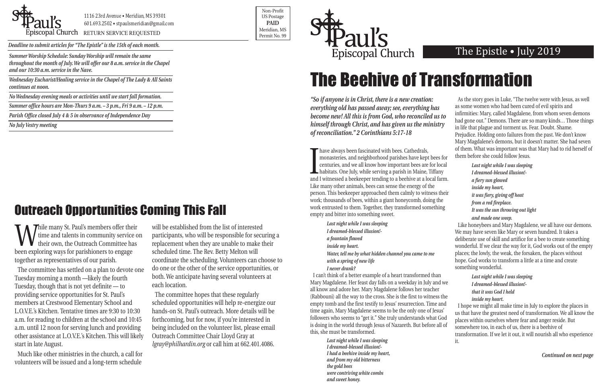*Summer Worship Schedule: Sunday Worship will remain the same throughout the month of July. We will offer our 8 a.m. service in the Chapel and our 10:30 a.m. service in the Nave.*

*Wednesday Eucharist/Healing service in the Chapel of The Lady & All Saints continues at noon.*

*No Wednesday evening meals or activities until we start fall formation.*

*Summer office hours are Mon-Thurs 9 a.m. – 3 p.m., Fri 9 a.m. – 12 p.m.*

*Parish Office closed July 4 & 5 in observance of Independence Day*

*No July Vestry meeting*



1116 23rd Avenue • Meridian, MS 39301 601.693.2502 • stpaulsmeridian@gmail.com

POSCOPAL Church RETURN SERVICE REQUESTED PERMIT NO. 99

Non-Profit US Postage **PAID** Meridian, MS



*Deadline to submit articles for "The Epistle" is the 15th of each month.* 

## The Epistle • July 2019

**I**<br>and have always been fascinated with bees. Cathedrals, monasteries, and neighborhood parishes have kept bees for centuries, and we all know how important bees are for local habitats. One July, while serving a parish in Maine, Tiffany and I witnessed a beekeeper tending to a beehive at a local farm. Like many other animals, bees can sense the energy of the person. This beekeeper approached them calmly to witness their work; thousands of bees, within a giant honeycomb, doing the work entrusted to them. Together, they transformed something empty and bitter into something sweet.

*"So if anyone is in Christ, there is a new creation: everything old has passed away; see, everything has become new! All this is from God, who reconciled us to himself through Christ, and has given us the ministry of reconciliation." 2 Corinthians 5:17-18*

> *Last night while I was sleeping I dreamed-blessed illusion! a fountain flowed inside my heart. Water, tell me by what hidden channel you came to me with a spring of new life I never drank?*

I can't think of a better example of a heart transformed than Mary Magdalene. Her feast day falls on a weekday in July and we all know and adore her. Mary Magdalene follows her teacher (Rabbouni) all the way to the cross. She is the first to witness the empty tomb and the first testify to Jesus' resurrection. Time and time again, Mary Magdalene seems to be the only one of Jesus' followers who seems to "get it." She truly understands what God is doing in the world through Jesus of Nazareth. But before all of this, she must be transformed.

While many St. Paul's members offer their<br>time and talents in community service of<br>their own, the Outreach Committee has<br>heen evalering wave for perishioners to angege. time and talents in community service on their own, the Outreach Committee has been exploring ways for parishioners to engage together as representatives of our parish.

> *Last night while I was sleeping I dreamed-blessed illusion!- I had a beehive inside my heart, and from my old bitterness the gold bees were contriving white combs and sweet honey.*

As the story goes in Luke, "The twelve were with Jesus, as well

|   | as some women who had been cured of evil spirits and                                                                           |
|---|--------------------------------------------------------------------------------------------------------------------------------|
|   | infirmities: Mary, called Magdalene, from whom seven demons                                                                    |
|   | had gone out." Demons. There are so many kinds Those things<br>in life that plague and torment us. Fear. Doubt. Shame.         |
|   | Prejudice. Holding onto failures from the past. We don't know                                                                  |
|   | Mary Magdalene's demons, but it doesn't matter. She had seven                                                                  |
|   | of them. What was important was that Mary had to rid herself of                                                                |
|   | them before she could follow Jesus.                                                                                            |
|   | Last night while I was sleeping                                                                                                |
|   | I dreamed-blessed illusion!-                                                                                                   |
|   | a fiery sun glowed                                                                                                             |
|   | inside my heart,                                                                                                               |
| ľ | it was fiery, giving off heat                                                                                                  |
|   | from a red fireplace.                                                                                                          |
|   | It was the sun throwing out light                                                                                              |
|   | and made one weep.                                                                                                             |
|   | Like honeybees and Mary Magdalene, we all have our demons.                                                                     |
|   | We may have seven like Mary or seven hundred. It takes a<br>deliberate use of skill and artifice for a bee to create something |
|   | wonderful. If we clear the way for it, God works out of the empty                                                              |
|   | places; the lowly, the weak, the forsaken, the places without                                                                  |
|   | hope. God works to transform a little at a time and create                                                                     |
|   | something wonderful.                                                                                                           |
|   | Last night while I was sleeping                                                                                                |
|   | I dreamed-blessed illusion!-                                                                                                   |
|   | that it was God I held                                                                                                         |
| € | inside my heart.                                                                                                               |
|   | I hope we might all make time in July to explore the places in                                                                 |
|   | us that have the greatest need of transformation. We all know the                                                              |
|   | places within ourselves where fear and anger reside. But                                                                       |

somewhere too, in each of us, there is a beehive of transformation. If we let it out, it will nourish all who experience it.

# Outreach Opportunities Coming This Fall

# The Beehive of Transformation

*Continued on next page*

The committee has settled on a plan to devote one Tuesday morning a month —likely the fourth Tuesday, though that is not yet definite — to providing service opportunities for St. Paul's members at Crestwood Elementary School and L.O.V.E.'s Kitchen. Tentative times are 9:30 to 10:30 a.m. for reading to children at the school and 10:45 a.m. until 12 noon for serving lunch and providing other assistance at L.O.V.E.'s Kitchen. This will likely start in late August.

Much like other ministries in the church, a call for volunteers will be issued and a long-term schedule

will be established from the list of interested participants, who will be responsible for securing a replacement when they are unable to make their scheduled time. The Rev. Betty Melton will coordinate the scheduling. Volunteers can choose to do one or the other of the service opportunities, or both. We anticipate having several volunteers at each location.

The committee hopes that these regularly scheduled opportunities will help re-energize our hands-on St. Paul's outreach. More details will be forthcoming, but for now, if you're interested in being included on the volunteer list, please email Outreach Committee Chair Lloyd Gray at *lgray@philhardin.org* or call him at 662.401.4086.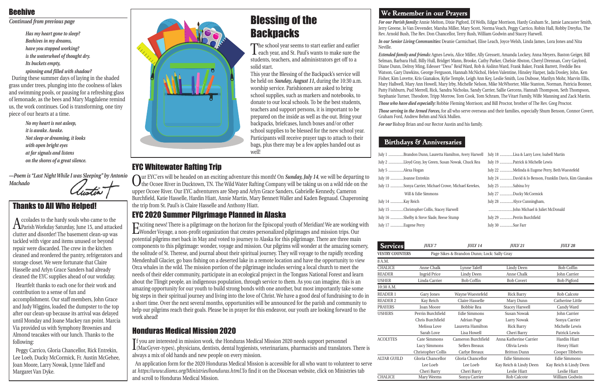*For our Parish family:* Annie Melton, Dixie Pigford, DJ Wells, Edgar Morrison, Hardy Graham Sr., Jamie Lancaster Smith, Jerry Greene, Jo Van Devender, Marsha Miller, Mary Scott, Norma Veach, Peggy Carrico, Robin Hall, Robby Dreyfus, The Rev. Arnold Bush, The Rev. Don Chancellor, Terry Rush, William Godwin and Stacey Harwell.

*In our Senior Living Communities:* Deanie Carmichael, Elise Leach, Joyce Welsh, Linda James, Lora Jones and Nita

Neville.

*Extended family and friends:* Agnes Lewis, Alice Miller, Ally Gressett, Amanda Lockey, Anna Meyers, Baston Geiger, Bill Selman, Barbara Hull, Billy Hull, Bridget Mann, Brooke, Cathy Parker, Chelsie Abston, Cheryl Drennan, Cory Gaylord, Diane Dunn, Delroy Ming, Edesser "Dess" Reid Ward, Rob & Aislinn Ward, Frank Baker, Frank Barrett, Freddie Bea Watson, Gary Dawkins, George Ferguson, Hannah McNichol, Helen Valentine, Hinsley Harper, Jada Dooley, John, Ken Fisher, Kim Lovette, Kris Gianakos, Kylie Temple, Leigh Ann Key, Leslie Smith, Lou Dubose, Marilyn Mohr, Marvin Ellis, Mary Hallwell, Mary Ann Howell, Mary Irby, Michelle Nelson, Mike McWhorter, Mike Stanton, Norman, Patricia Bonner, Patty Fishburn, Pud Merrell, Rick, Sandra Nicholas, Sandy Carrier, Sallie Gercens, Hannah Thompson, Seth Thompson, Stephanie Turner, Theodore, Tripp Morrow, Tom Cook, Tom Schram, The Vitart Family, Wilfe Manning and Zack Martin. *Those who have died especially:* Robbie Fleming Morrison; and Bill Proctor, brother of The Rev. Greg Proctor. *Those serving in the Armed Forces,* for all who serve overseas and their families, especially Shum Benson, Connor Covert, Graham Ford, Andrew Behm and Nick Mullen. *For our* Bishop Brian and our Rector Austin and his family.

#### **Birthdays & Anniversaries**

| July 1 Brandon Dunn, Lauretta Hamilton, Avery Harwell  |
|--------------------------------------------------------|
| July 2 Lloyd Gray, Joy Green, Susan Nowak, Chuck Rea   |
| July 5 Alexa Hogan                                     |
| July 10 Joanne Entrekin                                |
| July 13 Sonya Carrier, Michael Crowe, Michael Kerekes, |
| Will & Edie Simmons                                    |
| July 14 Kay Reich                                      |
| July 15 Christopher Collis, Stacey Harwell             |
| July 16 Shelby & Steve Slade, Reese Stump              |
| July 17 Eugene Perry                                   |

Our EYC'ers will be headed on an exciting adventure this month! On *Sunday, July 14*, we will be departing to the Ocoee River in Ducktown, TN. The Wild Water Rafting Company will be taking us on a wild ride on the upper Ocoee River. Our EYC adventurers are Shep and Arlyn Grace Sanders, Gabrielle Kennedy, Cameron Burchfield, Katie Hasselle, Hardin Hiatt, Annie Martin, Mary Bennett Waller and Kaden Begnaud. Chaperoning the trip from St. Paul's is Claire Hasselle and Anthony Hiatt.

| Hamilton, Avery Harwell | July 18 Lisa & Larry Love, Isabell Martin               |
|-------------------------|---------------------------------------------------------|
| ısan Nowak, Chuck Rea   |                                                         |
|                         | July 22 Melinda & Eugene Perry, Beth Wuestefeld         |
|                         | July 24 David & Jo Benson, Franklin Davis, Kim Gianakos |
| rowe, Michael Kerekes,  | July 25 Sabina Ivy                                      |
|                         | July 27 Ducky McCormick                                 |
|                         | July 28 Alyce Cunningham,                               |
| y Harwell               |                                                         |
| ese Stump               | July 29 Perrin Burchfield                               |
|                         | July 30 Sue Farr                                        |

| <u>Services</u>        | <b>JULY 7</b>       | <b>JULY 14</b>                              | <b>JULY 21</b>         | <b>JULY 28</b>         |
|------------------------|---------------------|---------------------------------------------|------------------------|------------------------|
| <b>VESTRY COUNTERS</b> |                     | Page Sikes & Brandon Dunn; Lock: Sally Gray |                        |                        |
| 8 A.M.                 |                     |                                             |                        |                        |
| <b>CHALICE</b>         | Anne Chalk          | Lynne Taleff                                | <b>Lindy Deen</b>      | <b>Bob Coffin</b>      |
| <b>READER</b>          | <b>Ingrid Price</b> | <b>Lindy Deen</b>                           | Anne Chalk             | <b>John Carrier</b>    |
| <b>USHER</b>           | Linda Carrier       | <b>Bob Coffin</b>                           | <b>Bob Covert</b>      | <b>Bob Pigford</b>     |
| $10:30$ A.M.           |                     |                                             |                        |                        |
| <b>READER 1</b>        | Gary Jones          | Wayne Wuestefeld                            | <b>Rick Barry</b>      | Rob Calcote            |
| <b>READER 2</b>        | Kay Reich           | Claire Hasselle                             | Mary Dunn              | Catherine Little       |
| <b>PRAYERS</b>         | <b>Joan Moore</b>   | <b>Bobbie Rea</b>                           | <b>Stacey Harwell</b>  | Candy Ward             |
| <b>USHERS</b>          | Perrin Burchfield   | Edie Simmons                                | Susan Nowak            | <b>John Carrier</b>    |
|                        | Chris Burchfield    | Adrian Page                                 | Larry Nowak            | Sonya Carrier          |
|                        | Melissa Love        | Lauretta Hamilton                           | <b>Rick Barry</b>      | Michelle Lewis         |
|                        | Sarah Love          | Lisa Howell                                 | Cheri Barry            | Patrick Lewis          |
| <b>ACOLYTES</b>        | Cate Simmons        | Cameron Burchfield                          | Anna Katherine Carrier | <b>Hardin Hiatt</b>    |
|                        | Lucy Simmons        | Sellers Breaux                              | Olivia Lewis           | Henry Hiatt            |
|                        | Christopher Collis  | Carlye Breaux                               | <b>Britton Dunn</b>    | Cooper Tibbetts        |
| <b>ALTAR GUILD</b>     | Gloria Chancellor   | Gloria Chancellor                           | Edie Simmons           | <b>Edie Simmons</b>    |
|                        | Lee Loeb            | Lee Loeb                                    | Kay Reich & Lindy Deen | Kay Reich & Lindy Deen |
|                        | Cheri Barry         | Cheri Barry                                 | Leslie Hiatt           | Leslie Hiatt           |
| <b>CHALICE</b>         | Mary Weems          | Sonya Carrier                               | <b>Rob Calcote</b>     | William Godwin         |

If you are interested in mission work, the Honduras Medical Mission 2020 needs support personnel<br>(MacGyver-types), physicians, dentists, dental hygienists, veterinarians, pharmacists and translators. There is f you are interested in mission work, the Honduras Medical Mission 2020 needs support personnel always a mix of old hands and new people on every mission.

### EYC Whitewater Rafting Trip

#### EYC 2020 Summer Pilgrimage Planned in Alaska

Exciting news! There is a pilgrimage on the horizon for the Episcopal youth of Meridian! We are working with Wonder Voyage, a non-profit organization that creates personalized pilgrimages and mission trips. Our potential pilgrims met back in May and voted to journey to Alaska for this pilgrimage. There are three main components to this pilgrimage: wonder, voyage and mission. Our pilgrims will wonder at the amazing scenery, the solitude of St. Therese, and journal about their spiritual journey. They will voyage to the rapidly receding Mendenhall Glacier, go bass fishing on a deserted lake in a remote location and have the opportunity to view Orca whales in the wild. The mission portion of the pilgrimage includes serving a local church to meet the needs of their elder community, participate in an ecological project in the Tongass National Forest and learn about the Tlingit people, an indigenous population, through service to them. As you can imagine, this is an amazing opportunity for our youth to build strong bonds with one another, but most importantly take some big steps in their spiritual journey and living into the love of Christ. We have a good deal of fundraising to do in a short time. Over the next several months, opportunities will be announced for the parish and community to help our pilgrims reach their goals. Please be in prayer for this endeavor, our youth are looking forward to the work ahead!



#### Honduras Medical Mission 2020

An application form for the 2020 Honduras Medical Mission is accessible for all who want to volunteer to serve at *https://www.dioms.org/Ministries/honduras.html*.To find it on the Diocesan website, click on Ministries tab and scroll to Honduras Medical Mission.

#### We Remember in our Prayers

*Has my heart gone to sleep? Beehives in my dreams, have you stopped working? is the waterwheel of thought dry. Its buckets empty, spinning and filled with shadow?*

During these summer days of laying in the shaded grass under trees, plunging into the coolness of lakes and swimming pools, or pausing for a refreshing glass of lemonade, as the bees and Mary Magdalene remind us, the work continues. God is transforming, one tiny piece of our hearts at a time.

> *No my heart is not asleep, it is awake. Awake. Not sleep or dreaming, it looks with open bright eyes at far signals and listens on the shores of a great silence.*

*—Poem is "Last Night While I was Sleeping" by Antonio Machado*

#### Beehive

*Continued from previous page*

Accolades to the hardy souls who came to the Parish Workday Saturday, June 15, and attacked clutter and disorder! The basement clean-up was tackled with vigor and items unused or beyond repair were discarded. The crew in the kitchen cleaned and reordered the pantry, refrigerators and storage closet. We were fortunate that Claire Hasselle and Arlyn Grace Sanders had already cleaned the EYC supplies ahead of our workday.

Heartfelt thanks to each one for their work and contribution to a sense of fun and accomplishment. Our staff members, John Grace and Judy Wiggins, loaded the dumpster to the top after our clean-up because its arrival was delayed until Monday and Joane Mackey ran point. Marcia Via provided us with Symphony Brownies and Almond teacakes with our lunch. Thanks to the following:

Peggy Carrico, Gloria Chancellor, Rick Entrekin, Lee Loeb, Ducky McCormick, Fr. Austin McGehee, Joan Moore, Larry Nowak, Lynne Taleff and Margaret Van Dyke.

#### Thanks to All Who Helped!